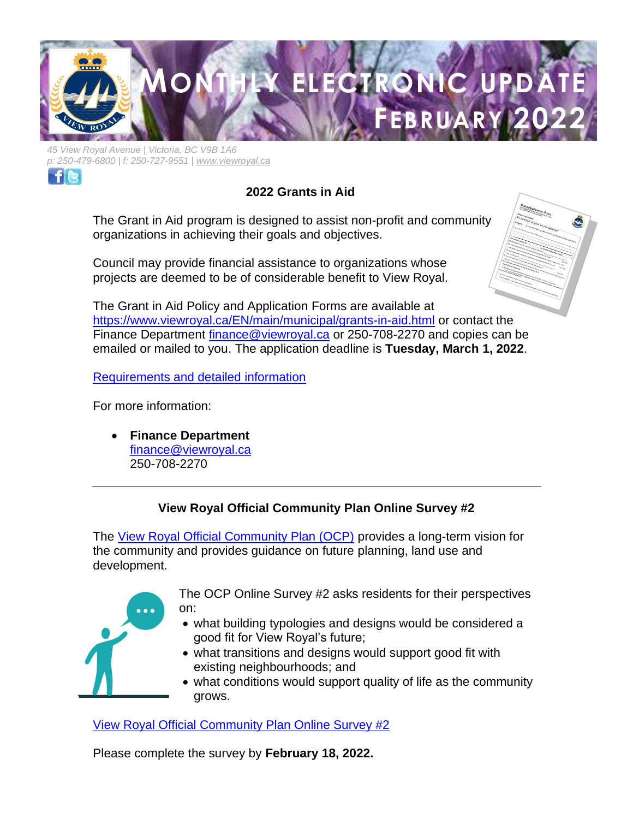

*45 View Royal Avenue | Victoria, BC V9B 1A6 p: 250-479-6800 | f: 250-727-9551 | [www.viewroyal.ca](http://www.viewroyal.ca/)*



# **2022 Grants in Aid**

The Grant in Aid program is designed to assist non-profit and community organizations in achieving their goals and objectives.

Council may provide financial assistance to organizations whose projects are deemed to be of considerable benefit to View Royal.



The Grant in Aid Policy and Application Forms are available at <https://www.viewroyal.ca/EN/main/municipal/grants-in-aid.html> or contact the Finance Department [finance@viewroyal.ca](mailto:finance@viewroyal.ca) or 250-708-2270 and copies can be emailed or mailed to you. The application deadline is **Tuesday, March 1, 2022**.

Requirements [and detailed information](https://www.viewroyal.ca/EN/main/municipal/grants-in-aid.html)

For more information:

• **Finance Department** [finance@viewroyal.ca](mailto:finance@viewroyal.ca) 250-708-2270

## **View Royal Official Community Plan Online Survey #2**

The [View Royal Official Community Plan \(OCP\)](https://www.viewroyal.ca/EN/main/town/projects/official-community-plan-update.html) provides a long-term vision for the community and provides guidance on future planning, land use and development.



The OCP Online Survey #2 asks residents for their perspectives on:

- what building typologies and designs would be considered a good fit for View Royal's future;
- what transitions and designs would support good fit with existing neighbourhoods; and
- what conditions would support quality of life as the community grows.

[View Royal Official Community Plan Online Survey](https://corexmssn92khd9m9tzb.qualtrics.com/jfe/form/SV_bPd1iy8gwRjM2x0) #2

Please complete the survey by **February 18, 2022.**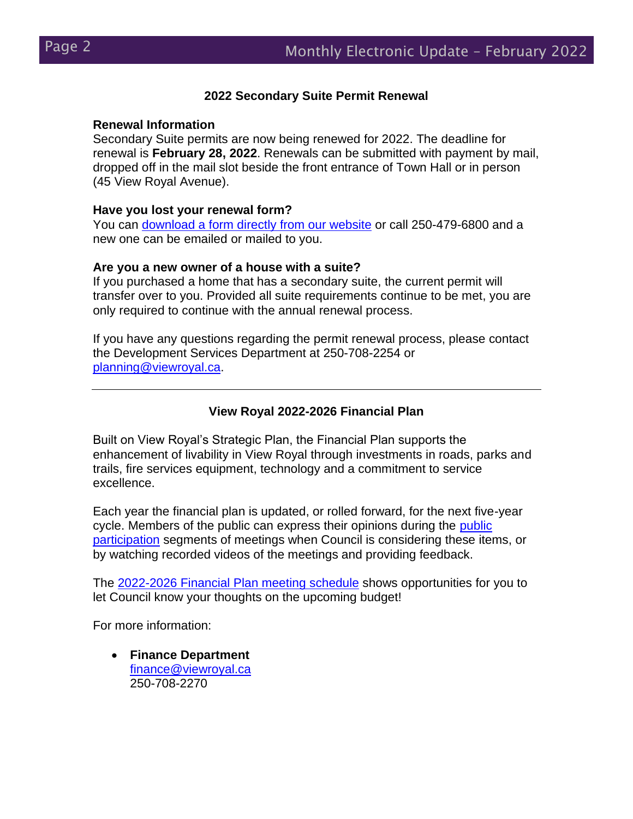## **2022 Secondary Suite Permit Renewal**

#### **Renewal Information**

Secondary Suite permits are now being renewed for 2022. The deadline for renewal is **February 28, 2022**. Renewals can be submitted with payment by mail, dropped off in the mail slot beside the front entrance of Town Hall or in person (45 View Royal Avenue).

#### **Have you lost your renewal form?**

You can [download a form directly from our website](https://www.viewroyal.ca/assets/Town~Hall/Documents-Forms/Building-Bylaw/Secondary%20Suite%20Renewal%20%20Form.pdf) or call 250-479-6800 and a new one can be emailed or mailed to you.

#### **Are you a new owner of a house with a suite?**

If you purchased a home that has a secondary suite, the current permit will transfer over to you. Provided all suite requirements continue to be met, you are only required to continue with the annual renewal process.

If you have any questions regarding the permit renewal process, please contact the Development Services Department at 250-708-2254 or [planning@viewroyal.ca.](mailto:planning@viewroyal.ca)

## **View Royal 2022-2026 Financial Plan**

Built on View Royal's Strategic Plan, the Financial Plan supports the enhancement of livability in View Royal through investments in roads, parks and trails, fire services equipment, technology and a commitment to service excellence.

Each year the financial plan is updated, or rolled forward, for the next five-year cycle. Members of the public can express their opinions during the [public](https://www.viewroyal.ca/EN/main/town/agendas-minutes-videos/live-webcast-meeting.html)  [participation](https://www.viewroyal.ca/EN/main/town/agendas-minutes-videos/live-webcast-meeting.html) segments of meetings when Council is considering these items, or by watching recorded videos of the meetings and providing feedback.

The [2022-2026 Financial Plan meeting](https://www.viewroyal.ca/assets/Town~Hall/Documents-Forms/Finance-Taxation/2022%2001%2004%20Financial%20Planning%20Calendar2.pdf) schedule shows opportunities for you to let Council know your thoughts on the upcoming budget!

For more information:

• **Finance Department** [finance@viewroyal.ca](mailto:finance@viewroyal.ca) 250-708-2270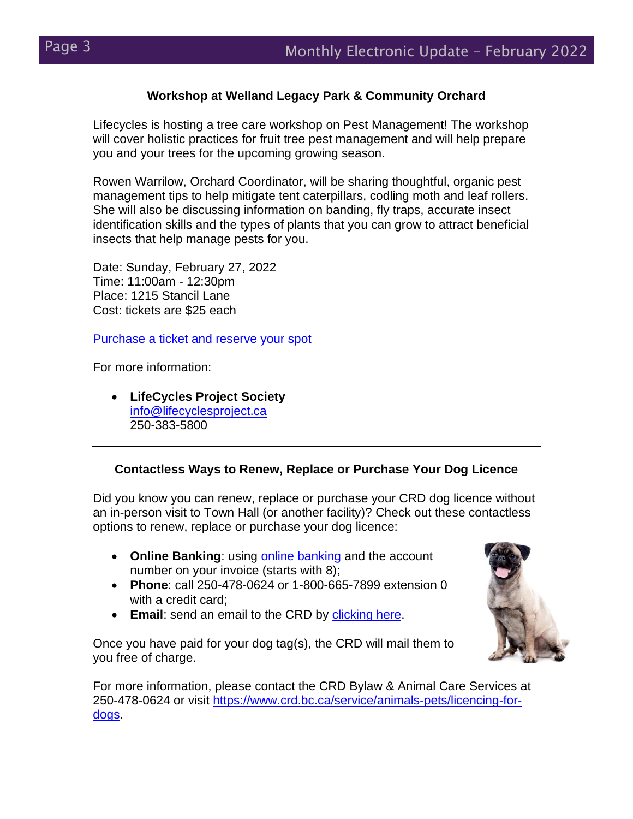## **Workshop at Welland Legacy Park & Community Orchard**

Lifecycles is hosting a tree care workshop on Pest Management! The workshop will cover holistic practices for fruit tree pest management and will help prepare you and your trees for the upcoming growing season.

Rowen Warrilow, Orchard Coordinator, will be sharing thoughtful, organic pest management tips to help mitigate tent caterpillars, codling moth and leaf rollers. She will also be discussing information on banding, fly traps, accurate insect identification skills and the types of plants that you can grow to attract beneficial insects that help manage pests for you.

Date: Sunday, February 27, 2022 Time: 11:00am - 12:30pm Place: 1215 Stancil Lane Cost: tickets are \$25 each

[Purchase a ticket and reserve your spot](https://can01.safelinks.protection.outlook.com/?url=http%3A%2F%2Femail.gleaning.lifecyclesproject.ca%2Fc%2FeJwNjcEOgyAQRL9Gj2RZWCkHDr30PxBWpSHYIJH49yV5c3mZzERnF20CzMkh4AAsotZKiWVdLCgTh_XWc5w07Jl9SWUXOW0cnpD5-tXzy6GJ4OfDAcpIfpERGXiVftXKbOolAxKYjeSc3dHa75rUe8LPoPcu-ObS1poaj5HheASJCLTRQGTm6lLZznF_J-71fHwexT8zrDbz&data=04%7C01%7Cinfo%40viewroyal.ca%7Cd627b8f7dd494790429308d9ec1dbf0d%7Cfb4dfe45649d42208549764f94bf05f3%7C1%7C1%7C637800434775650009%7CUnknown%7CTWFpbGZsb3d8eyJWIjoiMC4wLjAwMDAiLCJQIjoiV2luMzIiLCJBTiI6Ik1haWwiLCJXVCI6Mn0%3D%7C2000&sdata=EuNty3vCycoAvPJs%2FaNBPlFIMq4Gc1VP7tmazcVhly4%3D&reserved=0)

For more information:

• **LifeCycles Project Society** [info@lifecyclesproject.ca](mailto:info@lifecyclesproject.ca) 250-383-5800

## **Contactless Ways to Renew, Replace or Purchase Your Dog Licence**

Did you know you can renew, replace or purchase your CRD dog licence without an in-person visit to Town Hall (or another facility)? Check out these contactless options to renew, replace or purchase your dog licence:

- **Online Banking**: using [online banking](https://www.crd.bc.ca/service/animals-pets/licencing-for-dogs/online-payments) and the account number on your invoice (starts with 8);
- **Phone**: call 250-478-0624 or 1-800-665-7899 extension 0 with a credit card;
- **Email**: send an email to the CRD by [clicking here.](https://www.crd.bc.ca/contact-us?r=dog-licencing)

Once you have paid for your dog tag(s), the CRD will mail them to you free of charge.



For more information, please contact the CRD Bylaw & Animal Care Services at 250-478-0624 or visit [https://www.crd.bc.ca/service/animals-pets/licencing-for](https://www.crd.bc.ca/service/animals-pets/licencing-for-dogs)[dogs.](https://www.crd.bc.ca/service/animals-pets/licencing-for-dogs)